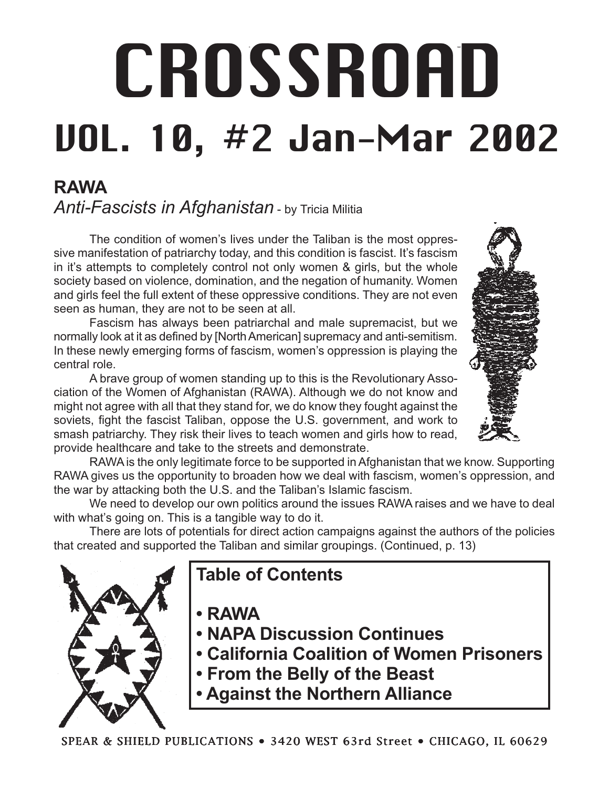# CROSSROAD VOL. 10, #2 Jan-Mar 2002

# **RAWA** *Anti-Fascists in Afghanistan* - by Tricia Militia

The condition of women's lives under the Taliban is the most oppressive manifestation of patriarchy today, and this condition is fascist. It's fascism in it's attempts to completely control not only women & girls, but the whole society based on violence, domination, and the negation of humanity. Women and girls feel the full extent of these oppressive conditions. They are not even seen as human, they are not to be seen at all.

Fascism has always been patriarchal and male supremacist, but we normally look at it as defined by [North American] supremacy and anti-semitism. In these newly emerging forms of fascism, women's oppression is playing the central role.

A brave group of women standing up to this is the Revolutionary Association of the Women of Afghanistan (RAWA). Although we do not know and might not agree with all that they stand for, we do know they fought against the soviets, fight the fascist Taliban, oppose the U.S. government, and work to smash patriarchy. They risk their lives to teach women and girls how to read, provide healthcare and take to the streets and demonstrate.



RAWA is the only legitimate force to be supported in Afghanistan that we know. Supporting RAWA gives us the opportunity to broaden how we deal with fascism, women's oppression, and the war by attacking both the U.S. and the Taliban's Islamic fascism.

We need to develop our own politics around the issues RAWA raises and we have to deal with what's going on. This is a tangible way to do it.

There are lots of potentials for direct action campaigns against the authors of the policies that created and supported the Taliban and similar groupings. (Continued, p. 13)



# **Table of Contents**

- **RAWA**
- **NAPA Discussion Continues**
- **California Coalition of Women Prisoners**
- **From the Belly of the Beast**
- **Against the Northern Alliance**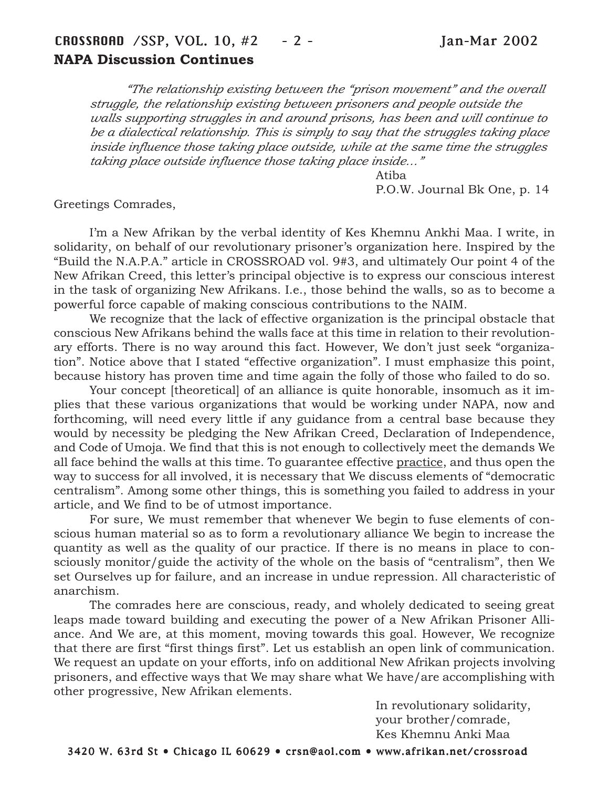# CROSSROAD /SSP, VOL. 10, #2 - 2 - Jan-Mar 2002 **NAPA Discussion Continues**

*"The relationship existing between the "prison movement" and the overall struggle, the relationship existing between prisoners and people outside the walls supporting struggles in and around prisons, has been and will continue to be a dialectical relationship. This is simply to say that the struggles taking place inside influence those taking place outside, while at the same time the struggles taking place outside influence those taking place inside…"*

Atiba

P.O.W. Journal Bk One, p. 14

Greetings Comrades,

I'm a New Afrikan by the verbal identity of Kes Khemnu Ankhi Maa. I write, in solidarity, on behalf of our revolutionary prisoner's organization here. Inspired by the "Build the N.A.P.A." article in CROSSROAD vol. 9#3, and ultimately Our point 4 of the New Afrikan Creed, this letter's principal objective is to express our conscious interest in the task of organizing New Afrikans. I.e., those behind the walls, so as to become a powerful force capable of making conscious contributions to the NAIM.

We recognize that the lack of effective organization is the principal obstacle that conscious New Afrikans behind the walls face at this time in relation to their revolutionary efforts. There is no way around this fact. However, We don't just seek "organization". Notice above that I stated "effective organization". I must emphasize this point, because history has proven time and time again the folly of those who failed to do so.

Your concept [theoretical] of an alliance is quite honorable, insomuch as it implies that these various organizations that would be working under NAPA, now and forthcoming, will need every little if any guidance from a central base because they would by necessity be pledging the New Afrikan Creed, Declaration of Independence, and Code of Umoja. We find that this is not enough to collectively meet the demands We all face behind the walls at this time. To guarantee effective practice, and thus open the way to success for all involved, it is necessary that We discuss elements of "democratic centralism". Among some other things, this is something you failed to address in your article, and We find to be of utmost importance.

For sure, We must remember that whenever We begin to fuse elements of conscious human material so as to form a revolutionary alliance We begin to increase the quantity as well as the quality of our practice. If there is no means in place to consciously monitor/guide the activity of the whole on the basis of "centralism", then We set Ourselves up for failure, and an increase in undue repression. All characteristic of anarchism.

The comrades here are conscious, ready, and wholely dedicated to seeing great leaps made toward building and executing the power of a New Afrikan Prisoner Alliance. And We are, at this moment, moving towards this goal. However, We recognize that there are first "first things first". Let us establish an open link of communication. We request an update on your efforts, info on additional New Afrikan projects involving prisoners, and effective ways that We may share what We have/are accomplishing with other progressive, New Afrikan elements.

> In revolutionary solidarity, your brother/comrade, Kes Khemnu Anki Maa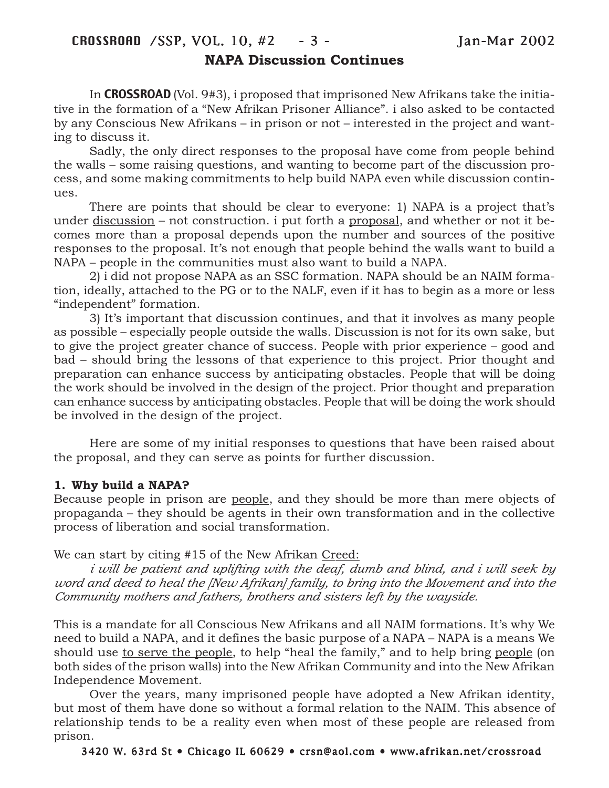# **NAPA Discussion Continues**

In CROSSROAD (Vol. 9#3), i proposed that imprisoned New Afrikans take the initiative in the formation of a "New Afrikan Prisoner Alliance". i also asked to be contacted by any Conscious New Afrikans – in prison or not – interested in the project and wanting to discuss it.

Sadly, the only direct responses to the proposal have come from people behind the walls – some raising questions, and wanting to become part of the discussion process, and some making commitments to help build NAPA even while discussion continues.

There are points that should be clear to everyone: 1) NAPA is a project that's under discussion – not construction. i put forth a proposal, and whether or not it becomes more than a proposal depends upon the number and sources of the positive responses to the proposal. It's not enough that people behind the walls want to build a NAPA – people in the communities must also want to build a NAPA.

2) i did not propose NAPA as an SSC formation. NAPA should be an NAIM formation, ideally, attached to the PG or to the NALF, even if it has to begin as a more or less "independent" formation.

3) It's important that discussion continues, and that it involves as many people as possible – especially people outside the walls. Discussion is not for its own sake, but to give the project greater chance of success. People with prior experience – good and bad – should bring the lessons of that experience to this project. Prior thought and preparation can enhance success by anticipating obstacles. People that will be doing the work should be involved in the design of the project. Prior thought and preparation can enhance success by anticipating obstacles. People that will be doing the work should be involved in the design of the project.

Here are some of my initial responses to questions that have been raised about the proposal, and they can serve as points for further discussion.

## **1. Why build a NAPA?**

Because people in prison are people, and they should be more than mere objects of propaganda – they should be agents in their own transformation and in the collective process of liberation and social transformation.

We can start by citing #15 of the New Afrikan Creed:

*i will be patient and uplifting with the deaf, dumb and blind, and i will seek by word and deed to heal the [New Afrikan] family, to bring into the Movement and into the Community mothers and fathers, brothers and sisters left by the wayside.*

This is a mandate for all Conscious New Afrikans and all NAIM formations. It's why We need to build a NAPA, and it defines the basic purpose of a NAPA – NAPA is a means We should use to serve the people, to help "heal the family," and to help bring people (on both sides of the prison walls) into the New Afrikan Community and into the New Afrikan Independence Movement.

Over the years, many imprisoned people have adopted a New Afrikan identity, but most of them have done so without a formal relation to the NAIM. This absence of relationship tends to be a reality even when most of these people are released from prison.

3420 W. 63rd St • Chicago IL 60629 • crsn@aol.com • www.afrikan.net/crossroad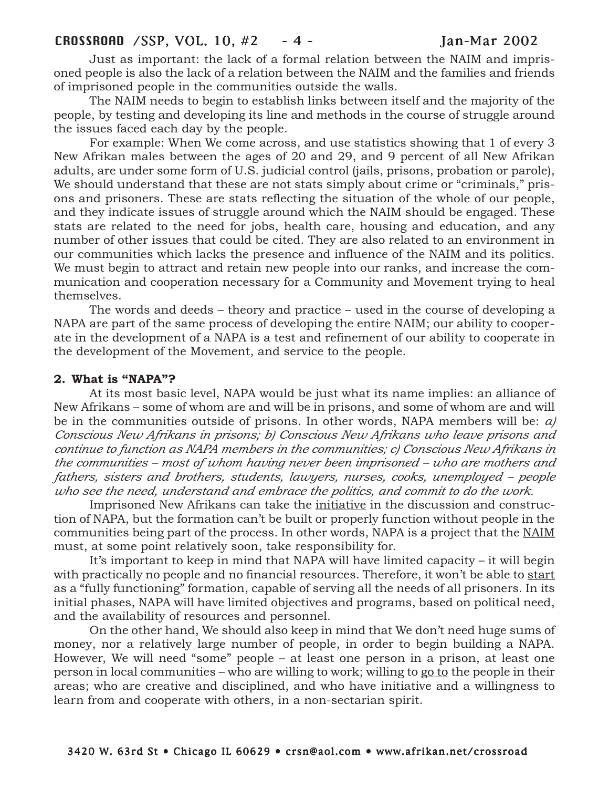# CROSSROAD /SSP, VOL. 10, #2 - 4 - Jan-Mar 2002

Just as important: the lack of a formal relation between the NAIM and imprisoned people is also the lack of a relation between the NAIM and the families and friends of imprisoned people in the communities outside the walls.

The NAIM needs to begin to establish links between itself and the majority of the people, by testing and developing its line and methods in the course of struggle around the issues faced each day by the people.

For example: When We come across, and use statistics showing that 1 of every 3 New Afrikan males between the ages of 20 and 29, and 9 percent of all New Afrikan adults, are under some form of U.S. judicial control (jails, prisons, probation or parole), We should understand that these are not stats simply about crime or "criminals," prisons and prisoners. These are stats reflecting the situation of the whole of our people, and they indicate issues of struggle around which the NAIM should be engaged. These stats are related to the need for jobs, health care, housing and education, and any number of other issues that could be cited. They are also related to an environment in our communities which lacks the presence and influence of the NAIM and its politics. We must begin to attract and retain new people into our ranks, and increase the communication and cooperation necessary for a Community and Movement trying to heal themselves.

The words and deeds – theory and practice – used in the course of developing a NAPA are part of the same process of developing the entire NAIM; our ability to cooperate in the development of a NAPA is a test and refinement of our ability to cooperate in the development of the Movement, and service to the people.

## **2. What is "NAPA"?**

At its most basic level, NAPA would be just what its name implies: an alliance of New Afrikans – some of whom are and will be in prisons, and some of whom are and will be in the communities outside of prisons. In other words, NAPA members will be: *a) Conscious New Afrikans in prisons; b) Conscious New Afrikans who leave prisons and continue to function as NAPA members in the communities; c) Conscious New Afrikans in the communities – most of whom having never been imprisoned – who are mothers and fathers, sisters and brothers, students, lawyers, nurses, cooks, unemployed – people who see the need, understand and embrace the politics, and commit to do the work.*

Imprisoned New Afrikans can take the initiative in the discussion and construction of NAPA, but the formation can't be built or properly function without people in the communities being part of the process. In other words, NAPA is a project that the NAIM must, at some point relatively soon, take responsibility for.

It's important to keep in mind that NAPA will have limited capacity – it will begin with practically no people and no financial resources. Therefore, it won't be able to start as a "fully functioning" formation, capable of serving all the needs of all prisoners. In its initial phases, NAPA will have limited objectives and programs, based on political need, and the availability of resources and personnel.

On the other hand, We should also keep in mind that We don't need huge sums of money, nor a relatively large number of people, in order to begin building a NAPA. However, We will need "some" people – at least one person in a prison, at least one person in local communities – who are willing to work; willing to go to the people in their areas; who are creative and disciplined, and who have initiative and a willingness to learn from and cooperate with others, in a non-sectarian spirit.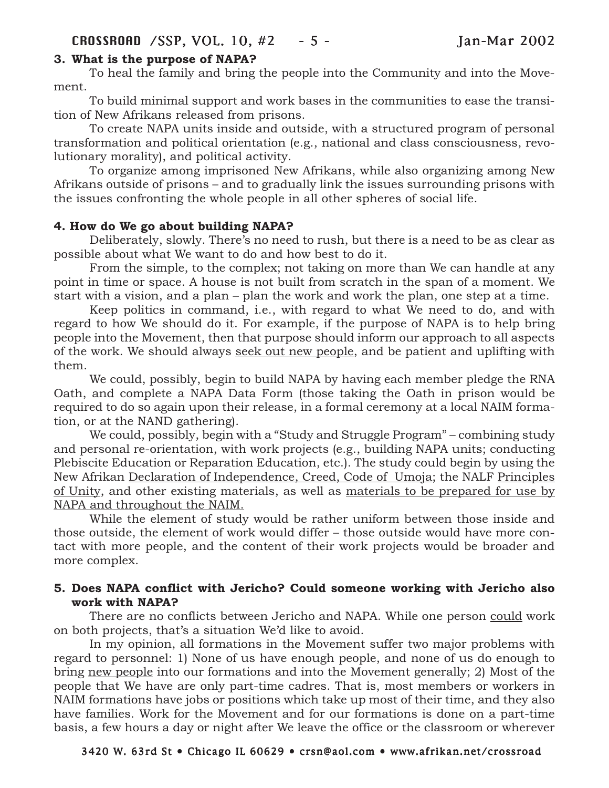# CROSSROAD /SSP, VOL. 10, #2 - 5 - Jan-Mar 2002

# **3. What is the purpose of NAPA?**

To heal the family and bring the people into the Community and into the Movement.

To build minimal support and work bases in the communities to ease the transition of New Afrikans released from prisons.

To create NAPA units inside and outside, with a structured program of personal transformation and political orientation (e.g., national and class consciousness, revolutionary morality), and political activity.

To organize among imprisoned New Afrikans, while also organizing among New Afrikans outside of prisons – and to gradually link the issues surrounding prisons with the issues confronting the whole people in all other spheres of social life.

## **4. How do We go about building NAPA?**

Deliberately, slowly. There's no need to rush, but there is a need to be as clear as possible about what We want to do and how best to do it.

From the simple, to the complex; not taking on more than We can handle at any point in time or space. A house is not built from scratch in the span of a moment. We start with a vision, and a plan – plan the work and work the plan, one step at a time.

Keep politics in command, i.e., with regard to what We need to do, and with regard to how We should do it. For example, if the purpose of NAPA is to help bring people into the Movement, then that purpose should inform our approach to all aspects of the work. We should always seek out new people, and be patient and uplifting with them.

We could, possibly, begin to build NAPA by having each member pledge the RNA Oath, and complete a NAPA Data Form (those taking the Oath in prison would be required to do so again upon their release, in a formal ceremony at a local NAIM formation, or at the NAND gathering).

We could, possibly, begin with a "Study and Struggle Program" – combining study and personal re-orientation, with work projects (e.g., building NAPA units; conducting Plebiscite Education or Reparation Education, etc.). The study could begin by using the New Afrikan Declaration of Independence, Creed, Code of Umoja; the NALF Principles of Unity, and other existing materials, as well as materials to be prepared for use by NAPA and throughout the NAIM.

While the element of study would be rather uniform between those inside and those outside, the element of work would differ – those outside would have more contact with more people, and the content of their work projects would be broader and more complex.

# **5. Does NAPA conflict with Jericho? Could someone working with Jericho also work with NAPA?**

There are no conflicts between Jericho and NAPA. While one person could work on both projects, that's a situation We'd like to avoid.

In my opinion, all formations in the Movement suffer two major problems with regard to personnel: 1) None of us have enough people, and none of us do enough to bring new people into our formations and into the Movement generally; 2) Most of the people that We have are only part-time cadres. That is, most members or workers in NAIM formations have jobs or positions which take up most of their time, and they also have families. Work for the Movement and for our formations is done on a part-time basis, a few hours a day or night after We leave the office or the classroom or wherever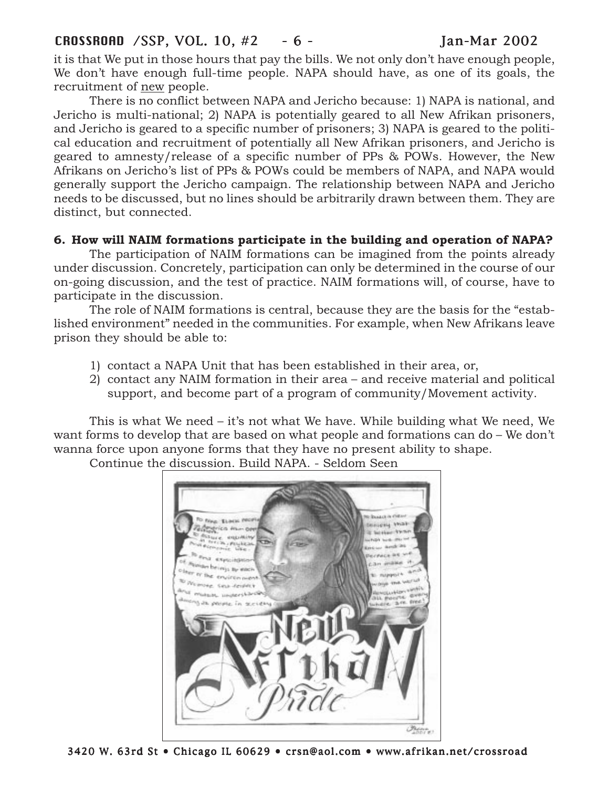# CROSSROAD /SSP, VOL. 10, #2 - 6 - Jan-Mar 2002

it is that We put in those hours that pay the bills. We not only don't have enough people, We don't have enough full-time people. NAPA should have, as one of its goals, the recruitment of new people.

There is no conflict between NAPA and Jericho because: 1) NAPA is national, and Jericho is multi-national; 2) NAPA is potentially geared to all New Afrikan prisoners, and Jericho is geared to a specific number of prisoners; 3) NAPA is geared to the political education and recruitment of potentially all New Afrikan prisoners, and Jericho is geared to amnesty/release of a specific number of PPs & POWs. However, the New Afrikans on Jericho's list of PPs & POWs could be members of NAPA, and NAPA would generally support the Jericho campaign. The relationship between NAPA and Jericho needs to be discussed, but no lines should be arbitrarily drawn between them. They are distinct, but connected.

# **6. How will NAIM formations participate in the building and operation of NAPA?**

The participation of NAIM formations can be imagined from the points already under discussion. Concretely, participation can only be determined in the course of our on-going discussion, and the test of practice. NAIM formations will, of course, have to participate in the discussion.

The role of NAIM formations is central, because they are the basis for the "established environment" needed in the communities. For example, when New Afrikans leave prison they should be able to:

- 1) contact a NAPA Unit that has been established in their area, or,
- 2) contact any NAIM formation in their area and receive material and political support, and become part of a program of community/Movement activity.

This is what We need – it's not what We have. While building what We need, We want forms to develop that are based on what people and formations can do – We don't wanna force upon anyone forms that they have no present ability to shape.

Continue the discussion. Build NAPA. - Seldom Seen

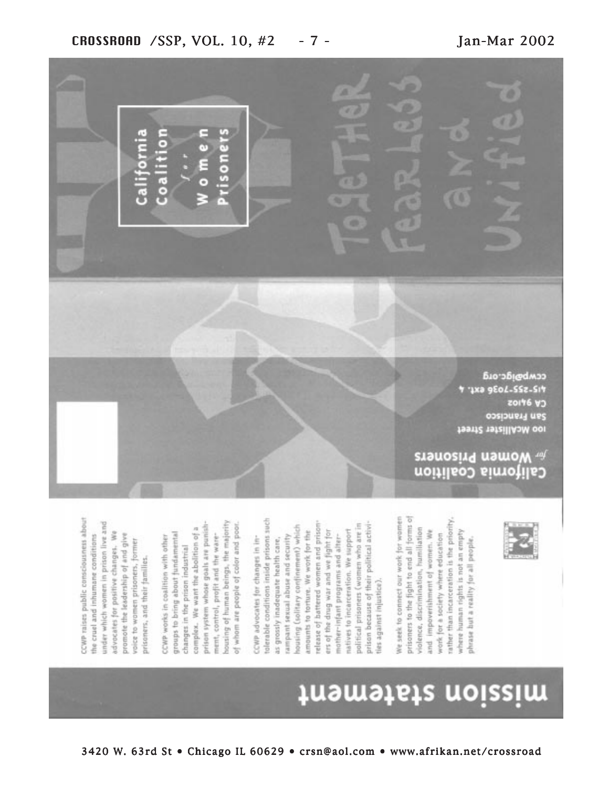Ē

 $\overline{\phantom{0}}$ 

ç,

Coalition

torn

ú

CCWP raises public consciousness about under which women in prison live and advocates for positive changes. We the cruel and inhumane conditions promote the leadership of and give voice to women prisoners, former prisoners, and their families.

housing of human beings, the majority prison system whose goals are punish of whom are people of color and poor groups to bring about fundamental complex. We want the abolition of ment, control, profit and the ware-CCWP works in coalition with other changes in the prison industrial

talerable conditions inside prisons such elease of battered women and prisonprison because of their political activipolitical prisoners (women who are in wusing (solitary confinement) which irs of the drug war and we fight for natives to incarceration. We support impunts to torture. We work for the nother-infant programs and alterampant sexual abuse and security CCWP advocates for changes in inas grossly inadequate health care, ties against injustice).

 $\overline{a}$ 

٠

We seek to connect our work for women prisoners to the fight to end all forms of rather than incarceration is the priority riolence, discrimination, humiliation and impoverishment of women. We where human rights is not an empty work for a society where education phease but a reality for all people.



ccmbondcrosa **WILSS2-SOZ-SYT** 

CV 81103 San Francisco **Issite Istallian Street** 

granozivq namoW wat California Coalition

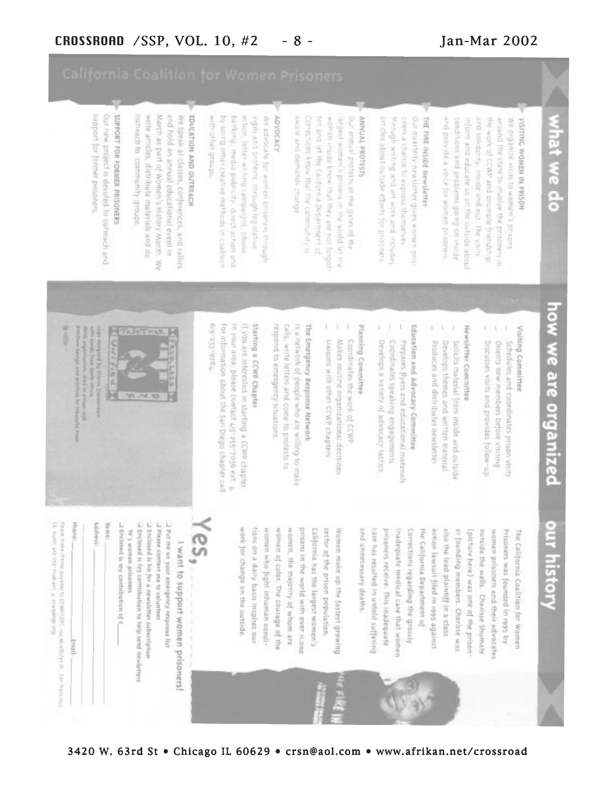# CROSSROAD /SSP, VOL. 10, #2 - 8 - Jan-Mar 2002

# what we do

# VISITING WOMEN IN PRISON

and provide a voice for women prisoners conditions and problems going on inside and solidarity, imide and out. The visits NE organize visits to women's prisons. riform and educate us on the cutside about he work of CCWP and promote friendship round the state to miolive the prisoners in

# THE FIRE TRISP REPAIRING

articles about outside efforts for prisoners. through writing and art work and includes Pur quarterly newsletter gives women pris nets a chance to express themselves

# ANNUAL PROTESTS

cerections know that the community is argest women's propert in the world let the ware and demands change en and let the California Department of ur annual protests at the gates of the omen inside know that they are not forgot-

# AJVOCACA

by using other creative methods in coalition ednota appealto iction, letter writing campaigns, phone rigili and protects, through legislative Ne advocate for women prisoners through lanking media publicity, direct action and

# EDUCATION AND OUTREACH

at reach to March as part of Women's History Month. We We speak at classes, conjerences, and rallies ville articles, distribute materials and do md hold an annual educational event in community groups.

# SUPPORT FOR FORMER PRISONERS

Dur new project is devoted to outreach and Happort for former prisoners.

# how we are organized

our history

# Visiting Committee

- Schedules and coordinates prison visits
- Orients new members before visiting
- Discusses visits and provides follow-up

# Newsletter Committee

- solicits material from inside and outside
- Develops themes and written material
- Produces and distributes newsletter
- 

# Education and Advocacy Committee

- Prepares flyers and educational materials
- Coordinates speaking engagements
- Develops a variety of advocacy factics

# Planning Committee

ind unnecessary deaths.

are has resulted in untald suffering

v

- Coordinates the work of ECWP
- Makes routine organizational decisions.
- Liaisaris with other CCWP chapters

# The Emerigency Response Network

is a network of people who are willing to make respond to emergency situations. calls, write letters and come to protests to

# Starting a CCWP Chapter

If you are interested in starting a CCWP chapter For information about the San Diego chapter call In your area, please contact 4/5-255-7036 ext, 4. 19233-9754



went prentient about Heriot Alpha anticed list indi-

> prisoners receive. This inadequate the California Department of action lawsuit filed in 1995 against er founding members. Charisse was Prisoners was founded in 1995 by nadequate medical care that women creechons regarding the grossly liso the lead plaintiff in a class picture here) was one of the prisonoutside the walls. Charisse Shumster women prispners and their advocates The California Coalition for Women

tions on a daily basis inspires our vamen of color. The courage of the vonk for change on the outside. voimen who fight inhuman condivamen, the majority of whom are prisons in the world with over it,ogo alifornia has the largest women's ector of the prison population. Vomen make up the fastest growing

# es,

# I want to support women prisoners!

I Part me an your emergency response list

a Please contact me to volunteer

J Enclosed is fine for a newsletter subscription a Enclosed is \$25 commitation to help send newletters

to 3 women prisoners

J Enclosed is my contribution of 1\_

istration

ii ii ii

Email.

**Tables** 

the adult 40 style and are accepted and ret make checking payable to CORPUSE, and ACARDING S. San Francisco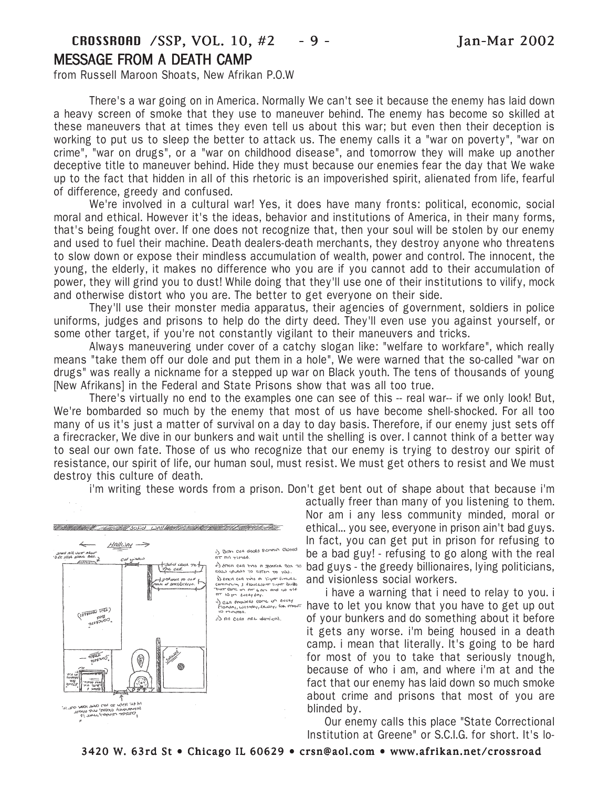# CROSSROAD /SSP, VOL. 10, #2 - 9 - Jan-Mar 2002 MESSAGE FROM A DEATH CAMP

from Russell Maroon Shoats, New Afrikan P.O.W

There's a war going on in America. Normally We can't see it because the enemy has laid down a heavy screen of smoke that they use to maneuver behind. The enemy has become so skilled at these maneuvers that at times they even tell us about this war; but even then their deception is working to put us to sleep the better to attack us. The enemy calls it a "war on poverty", "war on crime", "war on drugs", or a "war on childhood disease", and tomorrow they will make up another deceptive title to maneuver behind. Hide they must because our enemies fear the day that We wake up to the fact that hidden in all of this rhetoric is an impoverished spirit, alienated from life, fearful of difference, greedy and confused.

We're involved in a cultural war! Yes, it does have many fronts: political, economic, social moral and ethical. However it's the ideas, behavior and institutions of America, in their many forms, that's being fought over. If one does not recognize that, then your soul will be stolen by our enemy and used to fuel their machine. Death dealers-death merchants, they destroy anyone who threatens to slow down or expose their mindless accumulation of wealth, power and control. The innocent, the young, the elderly, it makes no difference who you are if you cannot add to their accumulation of power, they will grind you to dust! While doing that they'll use one of their institutions to vilify, mock and otherwise distort who you are. The better to get everyone on their side.

They'll use their monster media apparatus, their agencies of government, soldiers in police uniforms, judges and prisons to help do the dirty deed. They'll even use you against yourself, or some other target, if you're not constantly vigilant to their maneuvers and tricks.

Always maneuvering under cover of a catchy slogan like: "welfare to workfare", which really means "take them off our dole and put them in a hole", We were warned that the so-called "war on drugs" was really a nickname for a stepped up war on Black youth. The tens of thousands of young [New Afrikans] in the Federal and State Prisons show that was all too true.

There's virtually no end to the examples one can see of this -- real war-- if we only look! But, We're bombarded so much by the enemy that most of us have become shell-shocked. For all too many of us it's just a matter of survival on a day to day basis. Therefore, if our enemy just sets off a firecracker, We dive in our bunkers and wait until the shelling is over. I cannot think of a better way to seal our own fate. Those of us who recognize that our enemy is trying to destroy our spirit of resistance, our spirit of life, our human soul, must resist. We must get others to resist and We must destroy this culture of death.

<u> UNIMERS AND STATE OF THE STATE SON OF CONTRACT OF THE CONTRACT OF A CONTRACT OF THE CONTRACT OF THE CONTRACT OF THE CONTRACT OF THE CONTRACT OF THE CONTRACT OF THE CONTRACT OF THE CONTRACT OF THE CONTRACT OF THE CONTRACT</u>  $\overline{\phantom{a}}$ HAILSAY 1) Born can deals Remain Closed -<br>- *Small Aik Jear About*<br>- 3*41: High about* Beck  $\overline{m}$  and  $\overline{m}$ **Convert** d) GACH CEII huns A spanfice BOX 70<br>AIRN gaveds 70 isstem 70 you. 3) EACH CEN WAS A VIEW THORE<br>COMMANDING 3 ADOLESEM ROME BOOKS  $70000$ at BARS/SCREED m 10 pm backyday.<br>4) CLII shrawell camb om backy<br>Monday, Westelmy, filialay, for About<br>No minutes.  $(30794660)$   $U(42)$ READY DING 5) All Cells ARE Identical. is Trant Codenics absenced<br>personary class (Marcaness)<br>"Marcanes" or NiH .T3 p

i'm writing these words from a prison. Don't get bent out of shape about that because i'm

actually freer than many of you listening to them. Nor am i any less community minded, moral or ethical... you see, everyone in prison ain't bad guys. In fact, you can get put in prison for refusing to be a bad guy! - refusing to go along with the real bad guys - the greedy billionaires, lying politicians, and visionless social workers.

 i have a warning that i need to relay to you. i have to let you know that you have to get up out of your bunkers and do something about it before it gets any worse. i'm being housed in a death camp. i mean that literally. It's going to be hard for most of you to take that seriously tnough, because of who i am, and where i'm at and the fact that our enemy has laid down so much smoke about crime and prisons that most of you are blinded by.

 Our enemy calls this place "State Correctional Institution at Greene" or S.C.I.G. for short. It's lo-

3420 W. 63rd St • Chicago IL 60629 • crsn@aol.com • www.afrikan.net/crossroad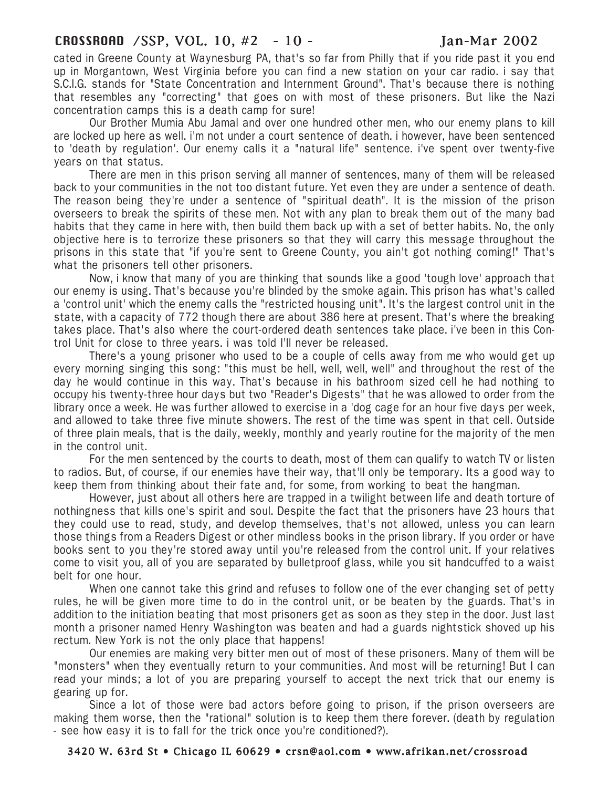# CROSSROAD /SSP, VOL. 10, #2 - 10 - Jan-Mar 2002

cated in Greene County at Waynesburg PA, that's so far from Philly that if you ride past it you end up in Morgantown, West Virginia before you can find a new station on your car radio. i say that S.C.I.G. stands for "State Concentration and Internment Ground". That's because there is nothing that resembles any "correcting" that goes on with most of these prisoners. But like the Nazi concentration camps this is a death camp for sure!

Our Brother Mumia Abu Jamal and over one hundred other men, who our enemy plans to kill are locked up here as well. i'm not under a court sentence of death. i however, have been sentenced to 'death by regulation'. Our enemy calls it a "natural life" sentence. i've spent over twenty-five years on that status.

There are men in this prison serving all manner of sentences, many of them will be released back to your communities in the not too distant future. Yet even they are under a sentence of death. The reason being they're under a sentence of "spiritual death". It is the mission of the prison overseers to break the spirits of these men. Not with any plan to break them out of the many bad habits that they came in here with, then build them back up with a set of better habits. No, the only objective here is to terrorize these prisoners so that they will carry this message throughout the prisons in this state that "if you're sent to Greene County, you ain't got nothing coming!" That's what the prisoners tell other prisoners.

Now, i know that many of you are thinking that sounds like a good 'tough love' approach that our enemy is using. That's because you're blinded by the smoke again. This prison has what's called a 'control unit' which the enemy calls the "restricted housing unit". It's the largest control unit in the state, with a capacity of 772 though there are about 386 here at present. That's where the breaking takes place. That's also where the court-ordered death sentences take place. i've been in this Control Unit for close to three years. i was told I'll never be released.

There's a young prisoner who used to be a couple of cells away from me who would get up every morning singing this song: "this must be hell, well, well, well" and throughout the rest of the day he would continue in this way. That's because in his bathroom sized cell he had nothing to occupy his twenty-three hour days but two "Reader's Digests" that he was allowed to order from the library once a week. He was further allowed to exercise in a 'dog cage for an hour five days per week, and allowed to take three five minute showers. The rest of the time was spent in that cell. Outside of three plain meals, that is the daily, weekly, monthly and yearly routine for the majority of the men in the control unit.

For the men sentenced by the courts to death, most of them can qualify to watch TV or listen to radios. But, of course, if our enemies have their way, that'll only be temporary. Its a good way to keep them from thinking about their fate and, for some, from working to beat the hangman.

However, just about all others here are trapped in a twilight between life and death torture of nothingness that kills one's spirit and soul. Despite the fact that the prisoners have 23 hours that they could use to read, study, and develop themselves, that's not allowed, unless you can learn those things from a Readers Digest or other mindless books in the prison library. If you order or have books sent to you they're stored away until you're released from the control unit. If your relatives come to visit you, all of you are separated by bulletproof glass, while you sit handcuffed to a waist belt for one hour.

When one cannot take this grind and refuses to follow one of the ever changing set of petty rules, he will be given more time to do in the control unit, or be beaten by the guards. That's in addition to the initiation beating that most prisoners get as soon as they step in the door. Just last month a prisoner named Henry Washington was beaten and had a guards nightstick shoved up his rectum. New York is not the only place that happens!

Our enemies are making very bitter men out of most of these prisoners. Many of them will be "monsters" when they eventually return to your communities. And most will be returning! But I can read your minds; a lot of you are preparing yourself to accept the next trick that our enemy is gearing up for.

Since a lot of those were bad actors before going to prison, if the prison overseers are making them worse, then the "rational" solution is to keep them there forever. (death by regulation - see how easy it is to fall for the trick once you're conditioned?).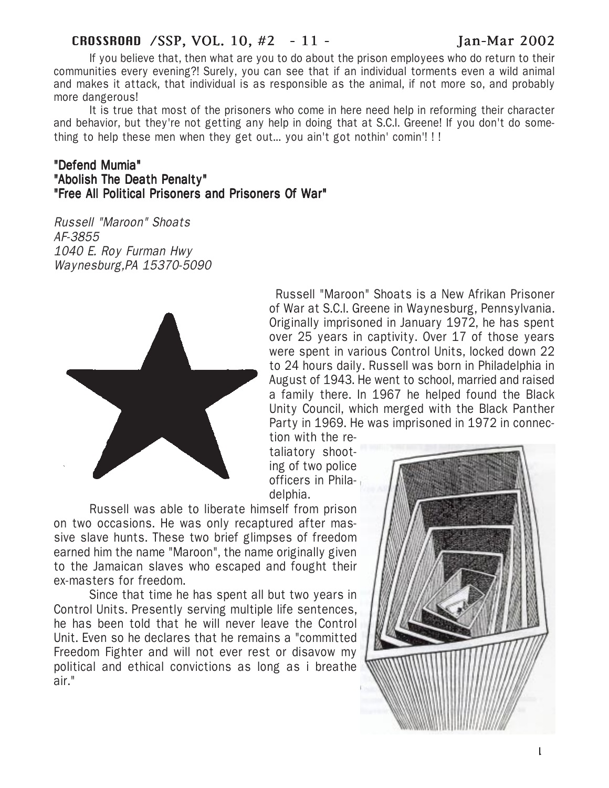# CROSSROAD /SSP, VOL. 10, #2 - 11 - Jan-Mar 2002

If you believe that, then what are you to do about the prison employees who do return to their communities every evening?! Surely, you can see that if an individual torments even a wild animal and makes it attack, that individual is as responsible as the animal, if not more so, and probably more dangerous!

It is true that most of the prisoners who come in here need help in reforming their character and behavior, but they're not getting any help in doing that at S.C.I. Greene! If you don't do something to help these men when they get out... you ain't got nothin' comin!!!!

# "Defend Mumia" "Abolish The Death Penalty" "Free All Political Prisoners and Prisoners Of War"

Russell "Maroon" Shoats AF-3855 1040 E. Roy Furman Hwy Waynesburg,PA 15370-5090



Russell "Maroon" Shoats is a New Afrikan Prisoner of War at S.C.I. Greene in Waynesburg, Pennsylvania. Originally imprisoned in January 1972, he has spent over 25 years in captivity. Over 17 of those years were spent in various Control Units, locked down 22 to 24 hours daily. Russell was born in Philadelphia in August of 1943. He went to school, married and raised a family there. In 1967 he helped found the Black Unity Council, which merged with the Black Panther Party in 1969. He was imprisoned in 1972 in connec-

tion with the retaliatory shooting of two police officers in Philadelphia.

Russell was able to liberate himself from prison on two occasions. He was only recaptured after massive slave hunts. These two brief glimpses of freedom earned him the name "Maroon", the name originally given to the Jamaican slaves who escaped and fought their ex-masters for freedom.

Since that time he has spent all but two years in Control Units. Presently serving multiple life sentences, he has been told that he will never leave the Control Unit. Even so he declares that he remains a "committed Freedom Fighter and will not ever rest or disavow my political and ethical convictions as long as i breathe air."

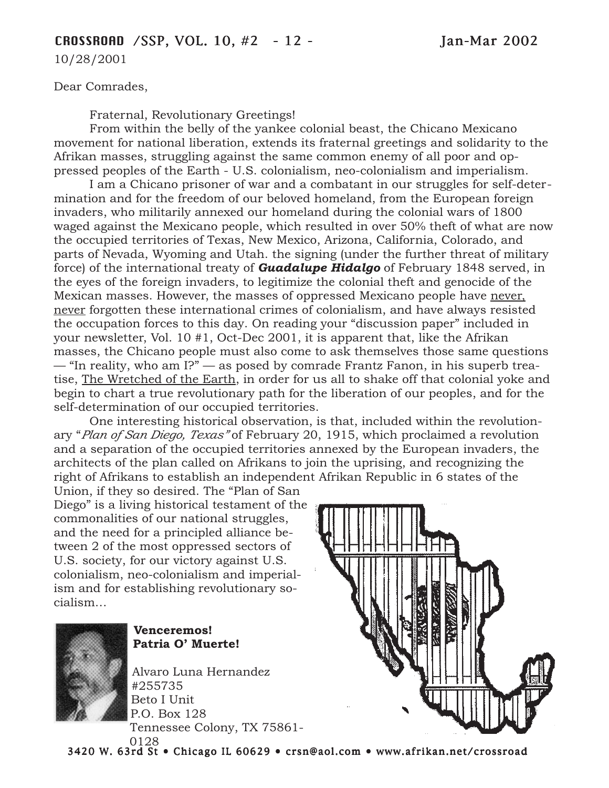10/28/2001

Dear Comrades,

Fraternal, Revolutionary Greetings!

From within the belly of the yankee colonial beast, the Chicano Mexicano movement for national liberation, extends its fraternal greetings and solidarity to the Afrikan masses, struggling against the same common enemy of all poor and oppressed peoples of the Earth - U.S. colonialism, neo-colonialism and imperialism.

I am a Chicano prisoner of war and a combatant in our struggles for self-determination and for the freedom of our beloved homeland, from the European foreign invaders, who militarily annexed our homeland during the colonial wars of 1800 waged against the Mexicano people, which resulted in over 50% theft of what are now the occupied territories of Texas, New Mexico, Arizona, California, Colorado, and parts of Nevada, Wyoming and Utah. the signing (under the further threat of military force) of the international treaty of *Guadalupe Hidalgo* of February 1848 served, in the eyes of the foreign invaders, to legitimize the colonial theft and genocide of the Mexican masses. However, the masses of oppressed Mexicano people have never, never forgotten these international crimes of colonialism, and have always resisted the occupation forces to this day. On reading your "discussion paper" included in your newsletter, Vol. 10 #1, Oct-Dec 2001, it is apparent that, like the Afrikan masses, the Chicano people must also come to ask themselves those same questions — "In reality, who am I?" — as posed by comrade Frantz Fanon, in his superb treatise, The Wretched of the Earth, in order for us all to shake off that colonial yoke and begin to chart a true revolutionary path for the liberation of our peoples, and for the self-determination of our occupied territories.

One interesting historical observation, is that, included within the revolutionary "*Plan of San Diego, Texas"* of February 20, 1915, which proclaimed a revolution and a separation of the occupied territories annexed by the European invaders, the architects of the plan called on Afrikans to join the uprising, and recognizing the right of Afrikans to establish an independent Afrikan Republic in 6 states of the

Union, if they so desired. The "Plan of San Diego" is a living historical testament of the commonalities of our national struggles, and the need for a principled alliance between 2 of the most oppressed sectors of U.S. society, for our victory against U.S. colonialism, neo-colonialism and imperialism and for establishing revolutionary socialism…



**Venceremos! Patria O' Muerte!**

Alvaro Luna Hernandez #255735 Beto I Unit P.O. Box 128 Tennessee Colony, TX 75861-



3420 W. 63rd St • Chicago IL 60629 • crsn@aol.com • www.afrikan.net/crossroad 0128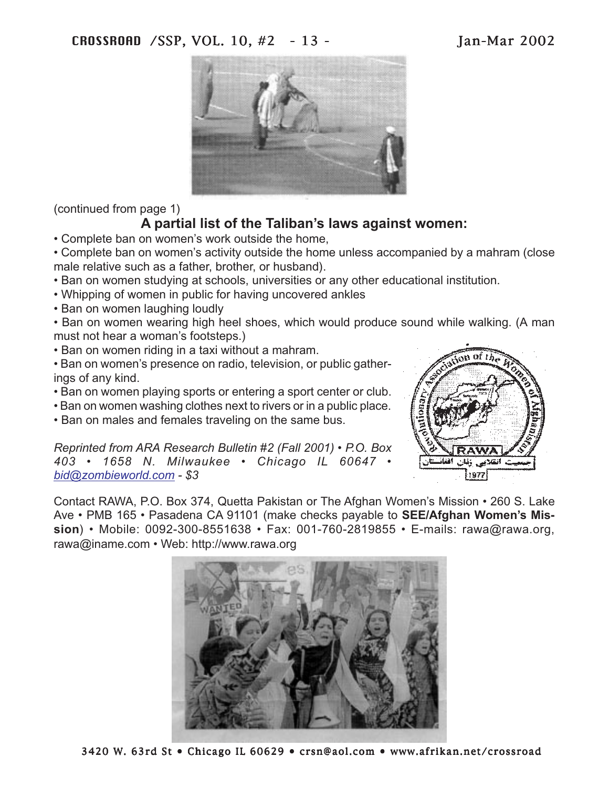

(continued from page 1)

# **A partial list of the Taliban's laws against women:**

• Complete ban on women's work outside the home,

• Complete ban on women's activity outside the home unless accompanied by a mahram (close male relative such as a father, brother, or husband).

- Ban on women studying at schools, universities or any other educational institution.
- Whipping of women in public for having uncovered ankles
- Ban on women laughing loudly

• Ban on women wearing high heel shoes, which would produce sound while walking. (A man must not hear a woman's footsteps.)

• Ban on women riding in a taxi without a mahram.

• Ban on women's presence on radio, television, or public gatherings of any kind.

- Ban on women playing sports or entering a sport center or club.
- Ban on women washing clothes next to rivers or in a public place.
- Ban on males and females traveling on the same bus.

*Reprinted from ARA Research Bulletin #2 (Fall 2001) • P.O. Box 403 • 1658 N. Milwaukee • Chicago IL 60647 • bid@zombieworld.com - \$3*

Contact RAWA, P.O. Box 374, Quetta Pakistan or The Afghan Women's Mission • 260 S. Lake Ave • PMB 165 • Pasadena CA 91101 (make checks payable to **SEE/Afghan Women's Mission**) • Mobile: 0092-300-8551638 • Fax: 001-760-2819855 • E-mails: rawa@rawa.org, rawa@iname.com • Web: http://www.rawa.org



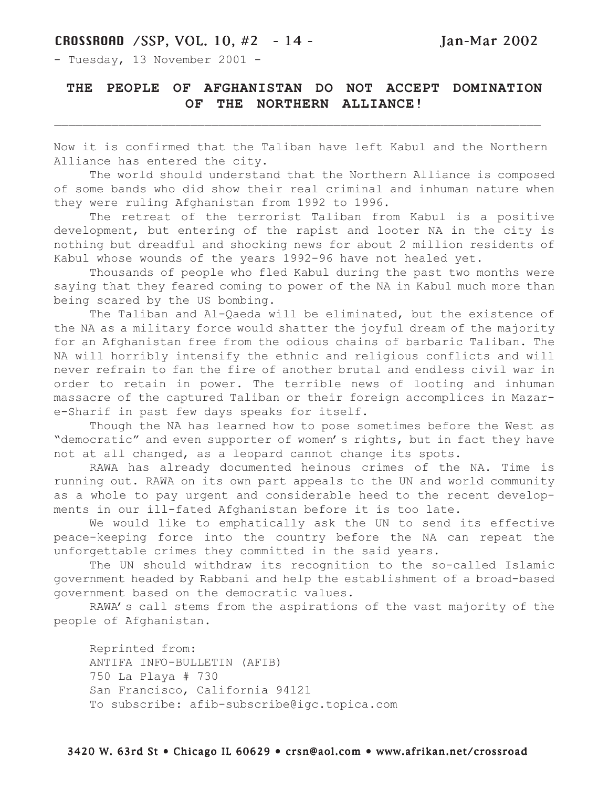## CROSSROAD /SSP, VOL. 10, #2 - 14 - Jan-Mar 2002

- Tuesday, 13 November 2001 -

# **THE PEOPLE OF AFGHANISTAN DO NOT ACCEPT DOMINATION OF THE NORTHERN ALLIANCE!**

Now it is confirmed that the Taliban have left Kabul and the Northern Alliance has entered the city.

 $\mathcal{L}_\text{max} = \frac{1}{2} \sum_{i=1}^n \mathcal{L}_\text{max}(\mathbf{x}_i - \mathbf{y}_i)$ 

The world should understand that the Northern Alliance is composed of some bands who did show their real criminal and inhuman nature when they were ruling Afghanistan from 1992 to 1996.

The retreat of the terrorist Taliban from Kabul is a positive development, but entering of the rapist and looter NA in the city is nothing but dreadful and shocking news for about 2 million residents of Kabul whose wounds of the years 1992-96 have not healed yet.

Thousands of people who fled Kabul during the past two months were saying that they feared coming to power of the NA in Kabul much more than being scared by the US bombing.

The Taliban and Al-Qaeda will be eliminated, but the existence of the NA as a military force would shatter the joyful dream of the majority for an Afghanistan free from the odious chains of barbaric Taliban. The NA will horribly intensify the ethnic and religious conflicts and will never refrain to fan the fire of another brutal and endless civil war in order to retain in power. The terrible news of looting and inhuman massacre of the captured Taliban or their foreign accomplices in Mazare-Sharif in past few days speaks for itself.

Though the NA has learned how to pose sometimes before the West as "democratic" and even supporter of women's rights, but in fact they have not at all changed, as a leopard cannot change its spots.

RAWA has already documented heinous crimes of the NA. Time is running out. RAWA on its own part appeals to the UN and world community as a whole to pay urgent and considerable heed to the recent developments in our ill-fated Afghanistan before it is too late.

We would like to emphatically ask the UN to send its effective peace-keeping force into the country before the NA can repeat the unforgettable crimes they committed in the said years.

The UN should withdraw its recognition to the so-called Islamic government headed by Rabbani and help the establishment of a broad-based government based on the democratic values.

RAWA's call stems from the aspirations of the vast majority of the people of Afghanistan.

Reprinted from: ANTIFA INFO-BULLETIN (AFIB) 750 La Playa # 730 San Francisco, California 94121 To subscribe: afib-subscribe@igc.topica.com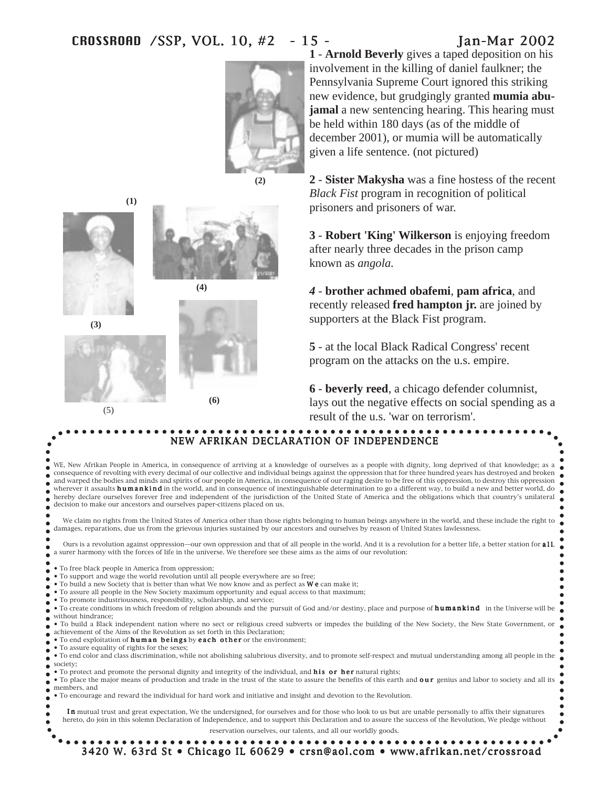

**(2)**



**(6)**



**1** - **Arnold Beverly** gives a taped deposition on his involvement in the killing of daniel faulkner; the Pennsylvania Supreme Court ignored this striking new evidence, but grudgingly granted **mumia abujamal** a new sentencing hearing. This hearing must be held within 180 days (as of the middle of december 2001), or mumia will be automatically given a life sentence. (not pictured)

**2** - **Sister Makysha** was a fine hostess of the recent *Black Fist* program in recognition of political prisoners and prisoners of war.

**3** - **Robert 'King' Wilkerson** is enjoying freedom after nearly three decades in the prison camp known as *angola.*

*4 -* **brother achmed obafemi**, **pam africa**, and recently released **fred hampton jr.** are joined by supporters at the Black Fist program.

**5** - at the local Black Radical Congress' recent program on the attacks on the u.s. empire.

**6** - **beverly reed**, a chicago defender columnist, lays out the negative effects on social spending as a result of the u.s. 'war on terrorism'.

|                                                                                                                                                                                                                                                                                                                                                                                                                                                                | NEW AFRIKAN DECLARATION OF INDEPENDENCE                                                                                                                                                                                                                                                                                                                                                                                                                                                                                                                                                                                                                                                                                                                                                                                                                                                                                                                                                                                                                                                          |
|----------------------------------------------------------------------------------------------------------------------------------------------------------------------------------------------------------------------------------------------------------------------------------------------------------------------------------------------------------------------------------------------------------------------------------------------------------------|--------------------------------------------------------------------------------------------------------------------------------------------------------------------------------------------------------------------------------------------------------------------------------------------------------------------------------------------------------------------------------------------------------------------------------------------------------------------------------------------------------------------------------------------------------------------------------------------------------------------------------------------------------------------------------------------------------------------------------------------------------------------------------------------------------------------------------------------------------------------------------------------------------------------------------------------------------------------------------------------------------------------------------------------------------------------------------------------------|
| decision to make our ancestors and ourselves paper-citizens placed on us.                                                                                                                                                                                                                                                                                                                                                                                      | WE, New Afrikan People in America, in consequence of arriving at a knowledge of ourselves as a people with dignity, long deprived of that knowledge; as a<br>consequence of revolting with every decimal of our collective and individual beings against the oppression that for three hundred years has destroyed and broken<br>and warped the bodies and minds and spirits of our people in America, in consequence of our raging desire to be free of this oppression, to destroy this oppression<br>wherever it assaults <b>humankind</b> in the world, and in consequence of inextinguishable determination to go a different way, to build a new and better world, do<br>hereby declare ourselves forever free and independent of the jurisdiction of the United State of America and the obligations which that country's unilateral                                                                                                                                                                                                                                                      |
|                                                                                                                                                                                                                                                                                                                                                                                                                                                                | We claim no rights from the United States of America other than those rights belonging to human beings anywhere in the world, and these include the right to<br>damages, reparations, due us from the grievous injuries sustained by our ancestors and ourselves by reason of United States lawlessness.                                                                                                                                                                                                                                                                                                                                                                                                                                                                                                                                                                                                                                                                                                                                                                                         |
|                                                                                                                                                                                                                                                                                                                                                                                                                                                                | Ours is a revolution against oppression—our own oppression and that of all people in the world. And it is a revolution for a better life, a better station for <b>a 11</b> ,<br>a surer harmony with the forces of life in the universe. We therefore see these aims as the aims of our revolution:                                                                                                                                                                                                                                                                                                                                                                                                                                                                                                                                                                                                                                                                                                                                                                                              |
| To free black people in America from oppression;<br>support and wage the world revolution until all people everywhere are so free;<br>promote industriousness, responsibility, scholarship, and service;<br>without hindrance;<br>achievement of the Aims of the Revolution as set forth in this Declaration;<br>end exploitation of human beings by each other or the environment;<br>To assure equality of rights for the sexes;<br>society;<br>members, and | 'o build a new Society that is better than what We now know and as perfect as We can make it;<br>assure all people in the New Society maximum opportunity and equal access to that maximum;<br>o create conditions in which freedom of religion abounds and the pursuit of God and/or destiny, place and purpose of <b>humankind</b> in the Universe will be<br>· To build a Black independent nation where no sect or religious creed subverts or impedes the building of the New Society, the New State Government, or<br>To end color and class discrimination, while not abolishing salubrious diversity, and to promote self-respect and mutual understanding among all people in the<br>protect and promote the personal dignity and integrity of the individual, and <b>his or her</b> natural rights;<br>place the major means of production and trade in the trust of the state to assure the benefits of this earth and our genius and labor to society and all its<br>To encourage and reward the individual for hard work and initiative and insight and devotion to the Revolution. |
|                                                                                                                                                                                                                                                                                                                                                                                                                                                                | In mutual trust and great expectation, We the undersigned, for ourselves and for those who look to us but are unable personally to affix their signatures<br>hereto, do join in this solemn Declaration of Independence, and to support this Declaration and to assure the success of the Revolution, We pledge without                                                                                                                                                                                                                                                                                                                                                                                                                                                                                                                                                                                                                                                                                                                                                                          |
|                                                                                                                                                                                                                                                                                                                                                                                                                                                                | reservation ourselves, our talents, and all our worldly goods.                                                                                                                                                                                                                                                                                                                                                                                                                                                                                                                                                                                                                                                                                                                                                                                                                                                                                                                                                                                                                                   |